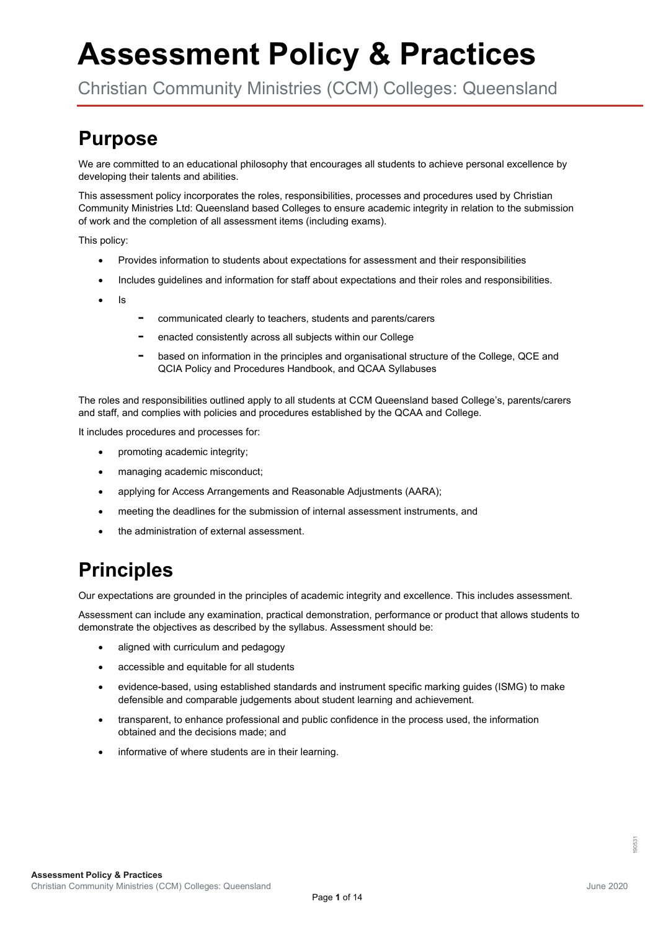# **Assessment Policy & Practices**

Christian Community Ministries (CCM) Colleges: Queensland

### **Purpose**

We are committed to an educational philosophy that encourages all students to achieve personal excellence by developing their talents and abilities.

This assessment policy incorporates the roles, responsibilities, processes and procedures used by Christian Community Ministries Ltd: Queensland based Colleges to ensure academic integrity in relation to the submission of work and the completion of all assessment items (including exams).

This policy:

- Provides information to students about expectations for assessment and their responsibilities
- Includes guidelines and information for staff about expectations and their roles and responsibilities.
- Is
- **-** communicated clearly to teachers, students and parents/carers
- **-** enacted consistently across all subjects within our College
- **-** based on information in the principles and organisational structure of the College, QCE and QCIA Policy and Procedures Handbook, and QCAA Syllabuses

The roles and responsibilities outlined apply to all students at CCM Queensland based College's, parents/carers and staff, and complies with policies and procedures established by the QCAA and College.

It includes procedures and processes for:

- promoting academic integrity;
- managing academic misconduct;
- applying for Access Arrangements and Reasonable Adjustments (AARA);
- meeting the deadlines for the submission of internal assessment instruments, and
- the administration of external assessment.

### **Principles**

Our expectations are grounded in the principles of academic integrity and excellence. This includes assessment.

Assessment can include any examination, practical demonstration, performance or product that allows students to demonstrate the objectives as described by the syllabus. Assessment should be:

- aligned with curriculum and pedagogy
- accessible and equitable for all students
- evidence-based, using established standards and instrument specific marking guides (ISMG) to make defensible and comparable judgements about student learning and achievement.
- transparent, to enhance professional and public confidence in the process used, the information obtained and the decisions made; and
- informative of where students are in their learning.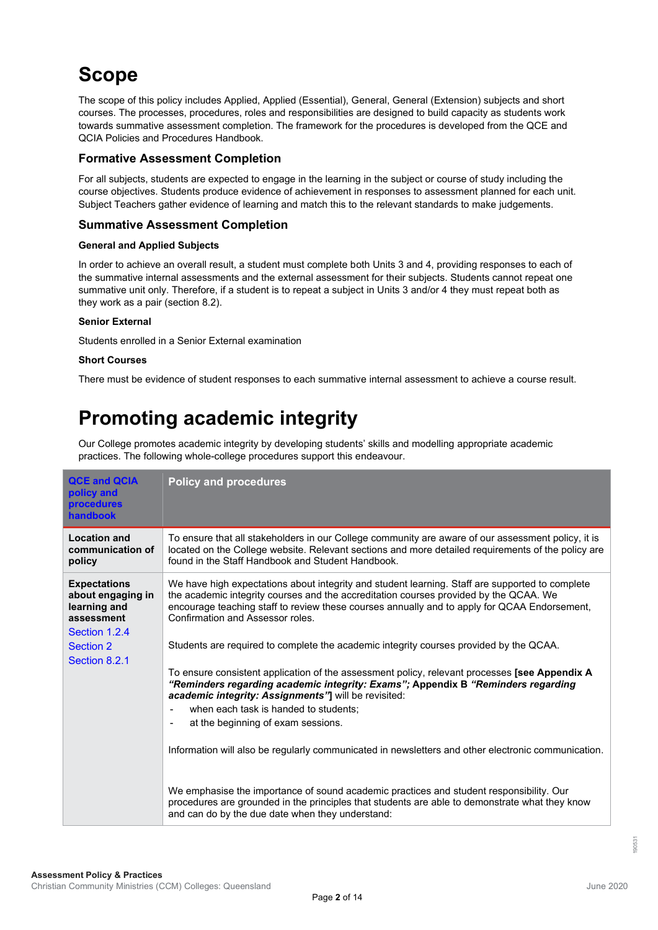## **Scope**

The scope of this policy includes Applied, Applied (Essential), General, General (Extension) subjects and short courses. The processes, procedures, roles and responsibilities are designed to build capacity as students work towards summative assessment completion. The framework for the procedures is developed from the QCE and QCIA Policies and Procedures Handbook.

#### **Formative Assessment Completion**

For all subjects, students are expected to engage in the learning in the subject or course of study including the course objectives. Students produce evidence of achievement in responses to assessment planned for each unit. Subject Teachers gather evidence of learning and match this to the relevant standards to make judgements.

#### **Summative Assessment Completion**

#### **General and Applied Subjects**

In order to achieve an overall result, a student must complete both Units 3 and 4, providing responses to each of the summative internal assessments and the external assessment for their subjects. Students cannot repeat one summative unit only. Therefore, if a student is to repeat a subject in Units 3 and/or 4 they must repeat both as they work as a pair (section 8.2).

#### **Senior External**

Students enrolled in a Senior External examination

#### **Short Courses**

There must be evidence of student responses to each summative internal assessment to achieve a course result.

## **Promoting academic integrity**

Our College promotes academic integrity by developing students' skills and modelling appropriate academic practices. The following whole-college procedures support this endeavour.

| <b>QCE and QCIA</b><br>policy and<br><b>procedures</b><br>handbook                                                    | <b>Policy and procedures</b>                                                                                                                                                                                                                                                                                                                                                                                                                                                                                                                                                                                                                                                                                 |  |
|-----------------------------------------------------------------------------------------------------------------------|--------------------------------------------------------------------------------------------------------------------------------------------------------------------------------------------------------------------------------------------------------------------------------------------------------------------------------------------------------------------------------------------------------------------------------------------------------------------------------------------------------------------------------------------------------------------------------------------------------------------------------------------------------------------------------------------------------------|--|
| <b>Location and</b><br>communication of<br>policy                                                                     | To ensure that all stakeholders in our College community are aware of our assessment policy, it is<br>located on the College website. Relevant sections and more detailed requirements of the policy are<br>found in the Staff Handbook and Student Handbook.                                                                                                                                                                                                                                                                                                                                                                                                                                                |  |
| <b>Expectations</b><br>about engaging in<br>learning and<br>assessment<br>Section 1.2.4<br>Section 2<br>Section 8.2.1 | We have high expectations about integrity and student learning. Staff are supported to complete<br>the academic integrity courses and the accreditation courses provided by the QCAA. We<br>encourage teaching staff to review these courses annually and to apply for QCAA Endorsement,<br>Confirmation and Assessor roles.<br>Students are required to complete the academic integrity courses provided by the QCAA.<br>To ensure consistent application of the assessment policy, relevant processes [see Appendix A<br>"Reminders regarding academic integrity: Exams"; Appendix B "Reminders regarding<br>academic integrity: Assignments"] will be revisited:<br>when each task is handed to students: |  |
|                                                                                                                       | at the beginning of exam sessions.<br>$\blacksquare$<br>Information will also be regularly communicated in newsletters and other electronic communication.<br>We emphasise the importance of sound academic practices and student responsibility. Our<br>procedures are grounded in the principles that students are able to demonstrate what they know<br>and can do by the due date when they understand:                                                                                                                                                                                                                                                                                                  |  |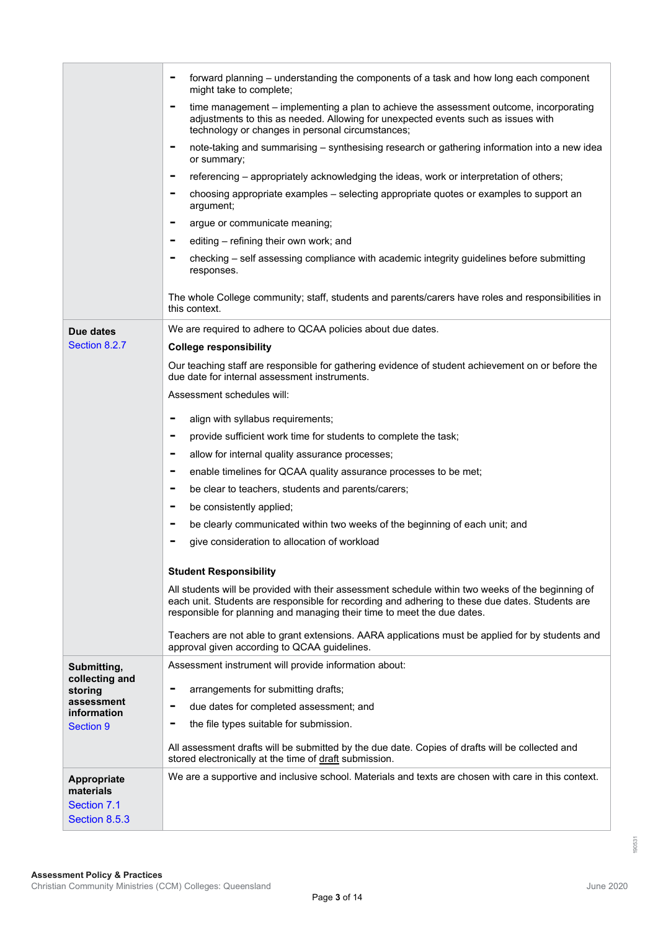|                                                          | forward planning – understanding the components of a task and how long each component<br>-<br>might take to complete;                                                                                                                                                           |  |  |  |  |
|----------------------------------------------------------|---------------------------------------------------------------------------------------------------------------------------------------------------------------------------------------------------------------------------------------------------------------------------------|--|--|--|--|
|                                                          | time management – implementing a plan to achieve the assessment outcome, incorporating<br>-<br>adjustments to this as needed. Allowing for unexpected events such as issues with<br>technology or changes in personal circumstances;                                            |  |  |  |  |
|                                                          | note-taking and summarising - synthesising research or gathering information into a new idea<br>$\overline{\phantom{a}}$<br>or summary;                                                                                                                                         |  |  |  |  |
|                                                          | referencing – appropriately acknowledging the ideas, work or interpretation of others;<br>$\qquad \qquad \blacksquare$                                                                                                                                                          |  |  |  |  |
|                                                          | choosing appropriate examples - selecting appropriate quotes or examples to support an<br>argument;                                                                                                                                                                             |  |  |  |  |
|                                                          | argue or communicate meaning;<br>$\qquad \qquad \blacksquare$                                                                                                                                                                                                                   |  |  |  |  |
|                                                          | editing - refining their own work; and                                                                                                                                                                                                                                          |  |  |  |  |
|                                                          | checking - self assessing compliance with academic integrity guidelines before submitting<br>responses.                                                                                                                                                                         |  |  |  |  |
|                                                          | The whole College community; staff, students and parents/carers have roles and responsibilities in<br>this context.                                                                                                                                                             |  |  |  |  |
| Due dates                                                | We are required to adhere to QCAA policies about due dates.                                                                                                                                                                                                                     |  |  |  |  |
| Section 8.2.7                                            | <b>College responsibility</b>                                                                                                                                                                                                                                                   |  |  |  |  |
|                                                          | Our teaching staff are responsible for gathering evidence of student achievement on or before the<br>due date for internal assessment instruments.                                                                                                                              |  |  |  |  |
|                                                          | Assessment schedules will:                                                                                                                                                                                                                                                      |  |  |  |  |
|                                                          | align with syllabus requirements;<br>-                                                                                                                                                                                                                                          |  |  |  |  |
|                                                          | provide sufficient work time for students to complete the task;<br>-                                                                                                                                                                                                            |  |  |  |  |
|                                                          | allow for internal quality assurance processes;<br>-                                                                                                                                                                                                                            |  |  |  |  |
|                                                          | enable timelines for QCAA quality assurance processes to be met;<br>-                                                                                                                                                                                                           |  |  |  |  |
|                                                          | be clear to teachers, students and parents/carers;<br>-                                                                                                                                                                                                                         |  |  |  |  |
|                                                          | be consistently applied;<br>-                                                                                                                                                                                                                                                   |  |  |  |  |
|                                                          | be clearly communicated within two weeks of the beginning of each unit; and                                                                                                                                                                                                     |  |  |  |  |
|                                                          | give consideration to allocation of workload                                                                                                                                                                                                                                    |  |  |  |  |
|                                                          |                                                                                                                                                                                                                                                                                 |  |  |  |  |
|                                                          | <b>Student Responsibility</b>                                                                                                                                                                                                                                                   |  |  |  |  |
|                                                          | All students will be provided with their assessment schedule within two weeks of the beginning of<br>each unit. Students are responsible for recording and adhering to these due dates. Students are<br>responsible for planning and managing their time to meet the due dates. |  |  |  |  |
|                                                          | Teachers are not able to grant extensions. AARA applications must be applied for by students and<br>approval given according to QCAA guidelines.                                                                                                                                |  |  |  |  |
| Submitting,                                              | Assessment instrument will provide information about:                                                                                                                                                                                                                           |  |  |  |  |
| collecting and                                           | arrangements for submitting drafts;<br>-                                                                                                                                                                                                                                        |  |  |  |  |
| storing<br>assessment                                    |                                                                                                                                                                                                                                                                                 |  |  |  |  |
| information                                              | due dates for completed assessment; and                                                                                                                                                                                                                                         |  |  |  |  |
| <b>Section 9</b>                                         | the file types suitable for submission.                                                                                                                                                                                                                                         |  |  |  |  |
|                                                          | All assessment drafts will be submitted by the due date. Copies of drafts will be collected and<br>stored electronically at the time of draft submission.                                                                                                                       |  |  |  |  |
| Appropriate<br>materials<br>Section 7.1<br>Section 8.5.3 | We are a supportive and inclusive school. Materials and texts are chosen with care in this context.                                                                                                                                                                             |  |  |  |  |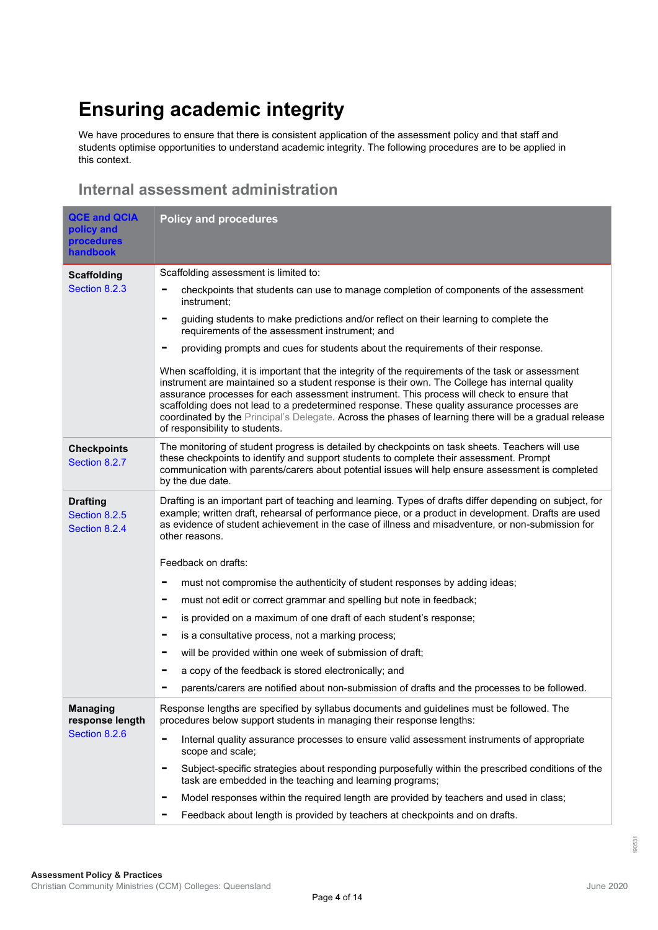## **Ensuring academic integrity**

We have procedures to ensure that there is consistent application of the assessment policy and that staff and students optimise opportunities to understand academic integrity. The following procedures are to be applied in this context.

#### **Internal assessment administration**

| <b>QCE and QCIA</b><br>policy and<br><b>procedures</b><br>handbook | <b>Policy and procedures</b>                                                                                                                                                                                                                                                                                                                                                                                                                                                                                                                   |  |  |  |
|--------------------------------------------------------------------|------------------------------------------------------------------------------------------------------------------------------------------------------------------------------------------------------------------------------------------------------------------------------------------------------------------------------------------------------------------------------------------------------------------------------------------------------------------------------------------------------------------------------------------------|--|--|--|
| <b>Scaffolding</b>                                                 | Scaffolding assessment is limited to:                                                                                                                                                                                                                                                                                                                                                                                                                                                                                                          |  |  |  |
| Section 8.2.3                                                      | checkpoints that students can use to manage completion of components of the assessment<br>instrument;                                                                                                                                                                                                                                                                                                                                                                                                                                          |  |  |  |
|                                                                    | guiding students to make predictions and/or reflect on their learning to complete the<br>requirements of the assessment instrument; and                                                                                                                                                                                                                                                                                                                                                                                                        |  |  |  |
|                                                                    | providing prompts and cues for students about the requirements of their response.                                                                                                                                                                                                                                                                                                                                                                                                                                                              |  |  |  |
|                                                                    | When scaffolding, it is important that the integrity of the requirements of the task or assessment<br>instrument are maintained so a student response is their own. The College has internal quality<br>assurance processes for each assessment instrument. This process will check to ensure that<br>scaffolding does not lead to a predetermined response. These quality assurance processes are<br>coordinated by the Principal's Delegate. Across the phases of learning there will be a gradual release<br>of responsibility to students. |  |  |  |
| <b>Checkpoints</b><br>Section 8.2.7                                | The monitoring of student progress is detailed by checkpoints on task sheets. Teachers will use<br>these checkpoints to identify and support students to complete their assessment. Prompt<br>communication with parents/carers about potential issues will help ensure assessment is completed<br>by the due date.                                                                                                                                                                                                                            |  |  |  |
| <b>Drafting</b><br>Section 8.2.5<br>Section 8.2.4                  | Drafting is an important part of teaching and learning. Types of drafts differ depending on subject, for<br>example; written draft, rehearsal of performance piece, or a product in development. Drafts are used<br>as evidence of student achievement in the case of illness and misadventure, or non-submission for<br>other reasons.                                                                                                                                                                                                        |  |  |  |
|                                                                    | Feedback on drafts:                                                                                                                                                                                                                                                                                                                                                                                                                                                                                                                            |  |  |  |
|                                                                    | must not compromise the authenticity of student responses by adding ideas;                                                                                                                                                                                                                                                                                                                                                                                                                                                                     |  |  |  |
|                                                                    | must not edit or correct grammar and spelling but note in feedback;<br>-                                                                                                                                                                                                                                                                                                                                                                                                                                                                       |  |  |  |
|                                                                    | is provided on a maximum of one draft of each student's response;<br>-                                                                                                                                                                                                                                                                                                                                                                                                                                                                         |  |  |  |
|                                                                    | is a consultative process, not a marking process;                                                                                                                                                                                                                                                                                                                                                                                                                                                                                              |  |  |  |
|                                                                    | will be provided within one week of submission of draft;                                                                                                                                                                                                                                                                                                                                                                                                                                                                                       |  |  |  |
|                                                                    | a copy of the feedback is stored electronically; and<br>-                                                                                                                                                                                                                                                                                                                                                                                                                                                                                      |  |  |  |
|                                                                    | parents/carers are notified about non-submission of drafts and the processes to be followed.                                                                                                                                                                                                                                                                                                                                                                                                                                                   |  |  |  |
| <b>Managing</b><br>response length                                 | Response lengths are specified by syllabus documents and guidelines must be followed. The<br>procedures below support students in managing their response lengths:                                                                                                                                                                                                                                                                                                                                                                             |  |  |  |
| Section 8.2.6                                                      | Internal quality assurance processes to ensure valid assessment instruments of appropriate<br>scope and scale;                                                                                                                                                                                                                                                                                                                                                                                                                                 |  |  |  |
|                                                                    | Subject-specific strategies about responding purposefully within the prescribed conditions of the<br>task are embedded in the teaching and learning programs;                                                                                                                                                                                                                                                                                                                                                                                  |  |  |  |
|                                                                    | Model responses within the required length are provided by teachers and used in class;<br>-                                                                                                                                                                                                                                                                                                                                                                                                                                                    |  |  |  |
|                                                                    | Feedback about length is provided by teachers at checkpoints and on drafts.                                                                                                                                                                                                                                                                                                                                                                                                                                                                    |  |  |  |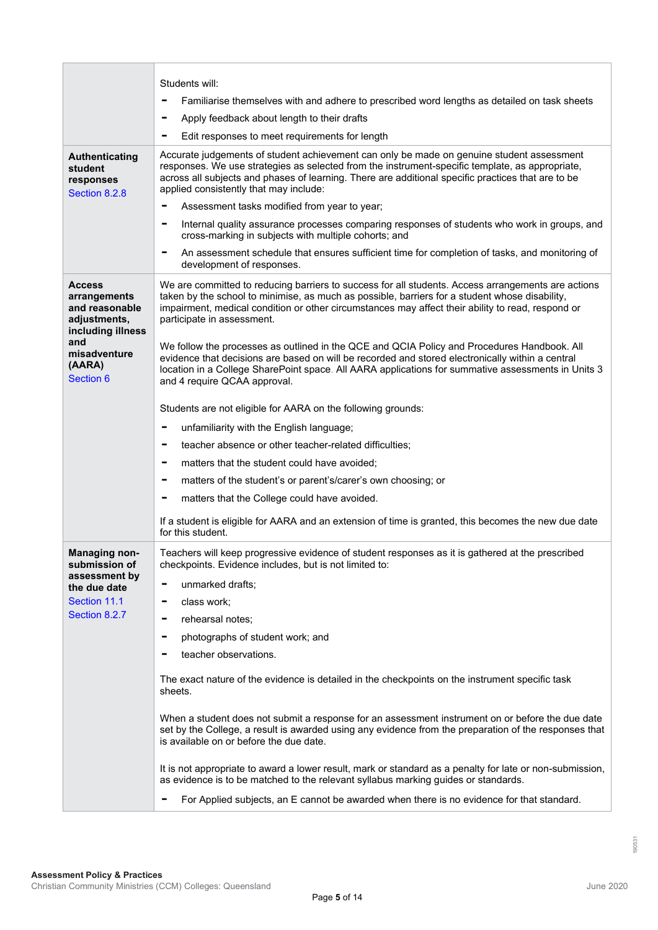|                                                                                      | Students will:                                                                                                                                                                                                                                                                                                                               |  |  |  |
|--------------------------------------------------------------------------------------|----------------------------------------------------------------------------------------------------------------------------------------------------------------------------------------------------------------------------------------------------------------------------------------------------------------------------------------------|--|--|--|
|                                                                                      | Familiarise themselves with and adhere to prescribed word lengths as detailed on task sheets<br>-                                                                                                                                                                                                                                            |  |  |  |
|                                                                                      | Apply feedback about length to their drafts<br>-                                                                                                                                                                                                                                                                                             |  |  |  |
|                                                                                      | Edit responses to meet requirements for length                                                                                                                                                                                                                                                                                               |  |  |  |
| Authenticating<br>student<br>responses<br>Section 8.2.8                              | Accurate judgements of student achievement can only be made on genuine student assessment<br>responses. We use strategies as selected from the instrument-specific template, as appropriate,<br>across all subjects and phases of learning. There are additional specific practices that are to be<br>applied consistently that may include: |  |  |  |
|                                                                                      | Assessment tasks modified from year to year;<br>$\qquad \qquad \blacksquare$                                                                                                                                                                                                                                                                 |  |  |  |
|                                                                                      | Internal quality assurance processes comparing responses of students who work in groups, and<br>۰<br>cross-marking in subjects with multiple cohorts; and                                                                                                                                                                                    |  |  |  |
|                                                                                      | An assessment schedule that ensures sufficient time for completion of tasks, and monitoring of<br>-<br>development of responses.                                                                                                                                                                                                             |  |  |  |
| <b>Access</b><br>arrangements<br>and reasonable<br>adjustments,<br>including illness | We are committed to reducing barriers to success for all students. Access arrangements are actions<br>taken by the school to minimise, as much as possible, barriers for a student whose disability,<br>impairment, medical condition or other circumstances may affect their ability to read, respond or<br>participate in assessment.      |  |  |  |
| and<br>misadventure<br>(AARA)<br>Section 6                                           | We follow the processes as outlined in the QCE and QCIA Policy and Procedures Handbook. All<br>evidence that decisions are based on will be recorded and stored electronically within a central<br>location in a College SharePoint space. All AARA applications for summative assessments in Units 3<br>and 4 require QCAA approval.        |  |  |  |
|                                                                                      | Students are not eligible for AARA on the following grounds:                                                                                                                                                                                                                                                                                 |  |  |  |
|                                                                                      | unfamiliarity with the English language;<br>Ξ                                                                                                                                                                                                                                                                                                |  |  |  |
|                                                                                      | teacher absence or other teacher-related difficulties;<br>-                                                                                                                                                                                                                                                                                  |  |  |  |
|                                                                                      | matters that the student could have avoided;<br>۰                                                                                                                                                                                                                                                                                            |  |  |  |
|                                                                                      | matters of the student's or parent's/carer's own choosing; or<br>-                                                                                                                                                                                                                                                                           |  |  |  |
|                                                                                      | matters that the College could have avoided.<br>-                                                                                                                                                                                                                                                                                            |  |  |  |
|                                                                                      | If a student is eligible for AARA and an extension of time is granted, this becomes the new due date<br>for this student.                                                                                                                                                                                                                    |  |  |  |
| <b>Managing non-</b><br>submission of                                                | Teachers will keep progressive evidence of student responses as it is gathered at the prescribed<br>checkpoints. Evidence includes, but is not limited to:                                                                                                                                                                                   |  |  |  |
| assessment by<br>the due date                                                        | unmarked drafts;                                                                                                                                                                                                                                                                                                                             |  |  |  |
| Section 11.1                                                                         | class work;<br>۰                                                                                                                                                                                                                                                                                                                             |  |  |  |
| Section 8.2.7                                                                        | rehearsal notes;<br>-                                                                                                                                                                                                                                                                                                                        |  |  |  |
|                                                                                      | photographs of student work; and                                                                                                                                                                                                                                                                                                             |  |  |  |
|                                                                                      | teacher observations.                                                                                                                                                                                                                                                                                                                        |  |  |  |
|                                                                                      | The exact nature of the evidence is detailed in the checkpoints on the instrument specific task<br>sheets.                                                                                                                                                                                                                                   |  |  |  |
|                                                                                      | When a student does not submit a response for an assessment instrument on or before the due date<br>set by the College, a result is awarded using any evidence from the preparation of the responses that<br>is available on or before the due date.                                                                                         |  |  |  |
|                                                                                      | It is not appropriate to award a lower result, mark or standard as a penalty for late or non-submission,<br>as evidence is to be matched to the relevant syllabus marking guides or standards.                                                                                                                                               |  |  |  |
|                                                                                      | For Applied subjects, an E cannot be awarded when there is no evidence for that standard.                                                                                                                                                                                                                                                    |  |  |  |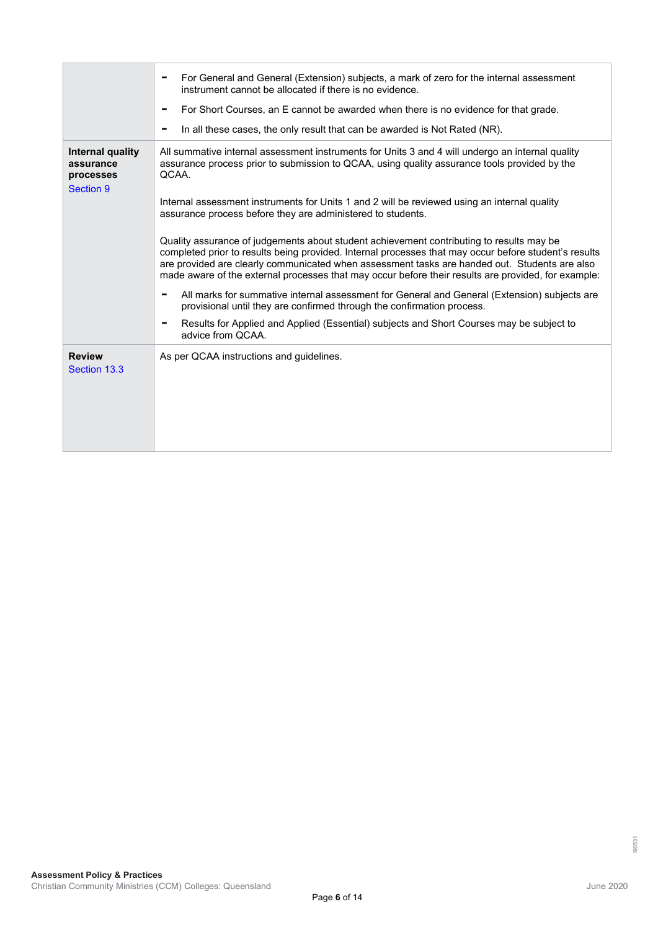|                                                                | For General and General (Extension) subjects, a mark of zero for the internal assessment<br>instrument cannot be allocated if there is no evidence.<br>For Short Courses, an E cannot be awarded when there is no evidence for that grade.<br>In all these cases, the only result that can be awarded is Not Rated (NR).                                                                                                                                                                                                                                                                                                                                                                                                                                                                                                                                                                                                                                                                                                                                                         |
|----------------------------------------------------------------|----------------------------------------------------------------------------------------------------------------------------------------------------------------------------------------------------------------------------------------------------------------------------------------------------------------------------------------------------------------------------------------------------------------------------------------------------------------------------------------------------------------------------------------------------------------------------------------------------------------------------------------------------------------------------------------------------------------------------------------------------------------------------------------------------------------------------------------------------------------------------------------------------------------------------------------------------------------------------------------------------------------------------------------------------------------------------------|
| Internal quality<br>assurance<br>processes<br><b>Section 9</b> | All summative internal assessment instruments for Units 3 and 4 will undergo an internal quality<br>assurance process prior to submission to QCAA, using quality assurance tools provided by the<br>QCAA.<br>Internal assessment instruments for Units 1 and 2 will be reviewed using an internal quality<br>assurance process before they are administered to students.<br>Quality assurance of judgements about student achievement contributing to results may be<br>completed prior to results being provided. Internal processes that may occur before student's results<br>are provided are clearly communicated when assessment tasks are handed out. Students are also<br>made aware of the external processes that may occur before their results are provided, for example:<br>All marks for summative internal assessment for General and General (Extension) subjects are<br>provisional until they are confirmed through the confirmation process.<br>Results for Applied and Applied (Essential) subjects and Short Courses may be subject to<br>advice from QCAA. |
| <b>Review</b><br>Section 13.3                                  | As per QCAA instructions and guidelines.                                                                                                                                                                                                                                                                                                                                                                                                                                                                                                                                                                                                                                                                                                                                                                                                                                                                                                                                                                                                                                         |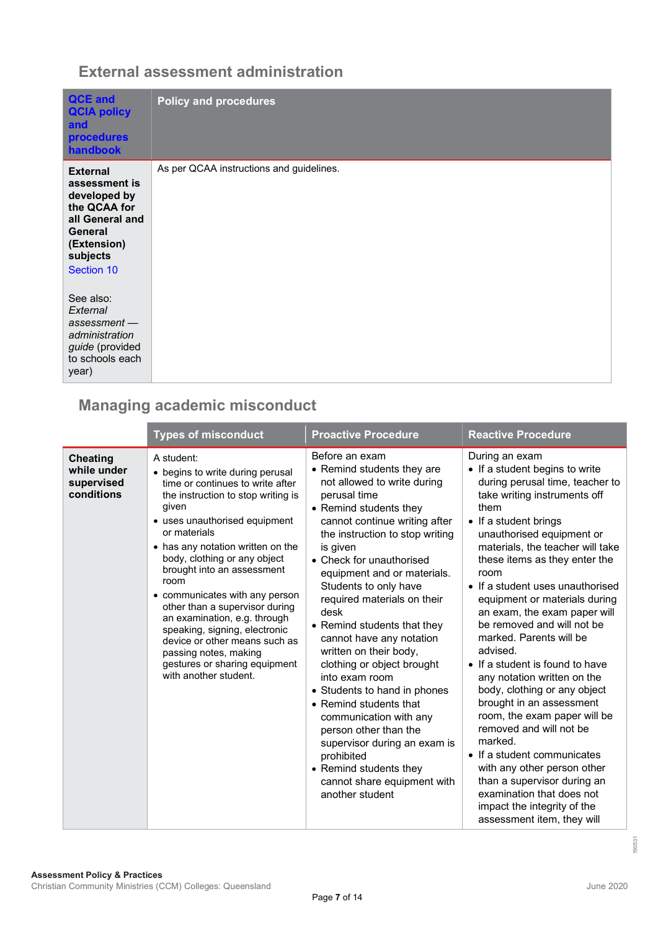#### **External assessment administration**

| <b>QCE and</b><br><b>QCIA policy</b><br>and<br><b>procedures</b><br>handbook                                                            | <b>Policy and procedures</b>             |
|-----------------------------------------------------------------------------------------------------------------------------------------|------------------------------------------|
| <b>External</b><br>assessment is<br>developed by<br>the QCAA for<br>all General and<br>General<br>(Extension)<br>subjects<br>Section 10 | As per QCAA instructions and guidelines. |
| See also:<br>External<br>$assessment -$<br>administration<br>guide (provided<br>to schools each<br>year)                                |                                          |

#### **Managing academic misconduct**

|                                                            | <b>Types of misconduct</b>                                                                                                                                                                                                                                                                                                                                                                                                                                                                                                                             | <b>Proactive Procedure</b>                                                                                                                                                                                                                                                                                                                                                                                                                                                                                                                                                                                                                                                                                   | <b>Reactive Procedure</b>                                                                                                                                                                                                                                                                                                                                                                                                                                                                                                                                                                                                                                                                                                                                                                                                           |
|------------------------------------------------------------|--------------------------------------------------------------------------------------------------------------------------------------------------------------------------------------------------------------------------------------------------------------------------------------------------------------------------------------------------------------------------------------------------------------------------------------------------------------------------------------------------------------------------------------------------------|--------------------------------------------------------------------------------------------------------------------------------------------------------------------------------------------------------------------------------------------------------------------------------------------------------------------------------------------------------------------------------------------------------------------------------------------------------------------------------------------------------------------------------------------------------------------------------------------------------------------------------------------------------------------------------------------------------------|-------------------------------------------------------------------------------------------------------------------------------------------------------------------------------------------------------------------------------------------------------------------------------------------------------------------------------------------------------------------------------------------------------------------------------------------------------------------------------------------------------------------------------------------------------------------------------------------------------------------------------------------------------------------------------------------------------------------------------------------------------------------------------------------------------------------------------------|
| <b>Cheating</b><br>while under<br>supervised<br>conditions | A student:<br>• begins to write during perusal<br>time or continues to write after<br>the instruction to stop writing is<br>given<br>• uses unauthorised equipment<br>or materials<br>• has any notation written on the<br>body, clothing or any object<br>brought into an assessment<br>room<br>• communicates with any person<br>other than a supervisor during<br>an examination, e.g. through<br>speaking, signing, electronic<br>device or other means such as<br>passing notes, making<br>gestures or sharing equipment<br>with another student. | Before an exam<br>• Remind students they are<br>not allowed to write during<br>perusal time<br>• Remind students they<br>cannot continue writing after<br>the instruction to stop writing<br>is given<br>• Check for unauthorised<br>equipment and or materials.<br>Students to only have<br>required materials on their<br>desk<br>• Remind students that they<br>cannot have any notation<br>written on their body,<br>clothing or object brought<br>into exam room<br>• Students to hand in phones<br>• Remind students that<br>communication with any<br>person other than the<br>supervisor during an exam is<br>prohibited<br>• Remind students they<br>cannot share equipment with<br>another student | During an exam<br>• If a student begins to write<br>during perusal time, teacher to<br>take writing instruments off<br>them<br>• If a student brings<br>unauthorised equipment or<br>materials, the teacher will take<br>these items as they enter the<br>room<br>• If a student uses unauthorised<br>equipment or materials during<br>an exam, the exam paper will<br>be removed and will not be<br>marked. Parents will be<br>advised.<br>• If a student is found to have<br>any notation written on the<br>body, clothing or any object<br>brought in an assessment<br>room, the exam paper will be<br>removed and will not be<br>marked.<br>• If a student communicates<br>with any other person other<br>than a supervisor during an<br>examination that does not<br>impact the integrity of the<br>assessment item, they will |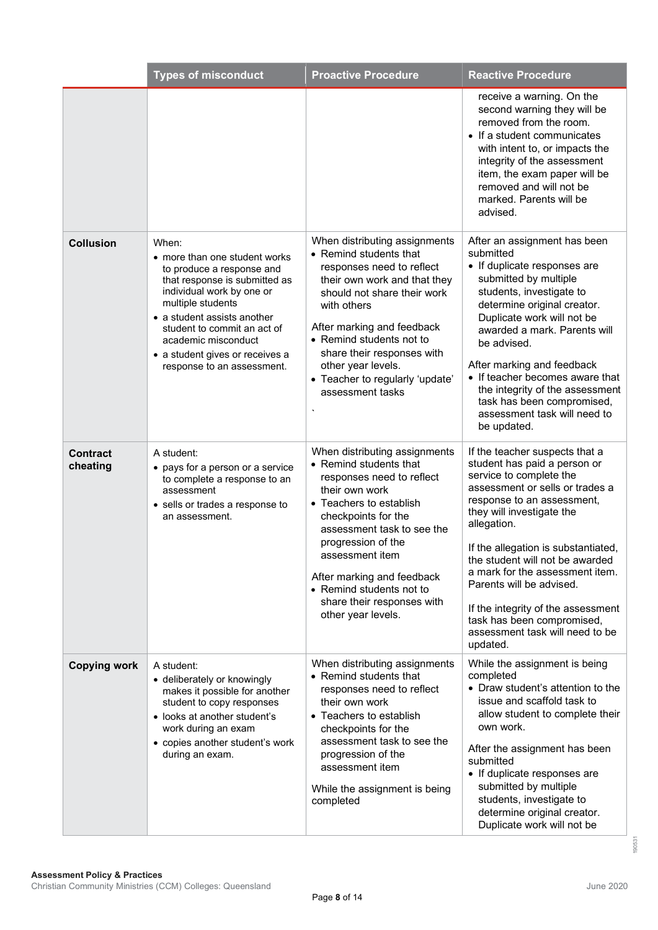|                      | <b>Types of misconduct</b>                                                                                                                                                                                                                                                                                   | <b>Proactive Procedure</b>                                                                                                                                                                                                                                                                                                                    | <b>Reactive Procedure</b>                                                                                                                                                                                                                                                                                                                                                                                                                                          |
|----------------------|--------------------------------------------------------------------------------------------------------------------------------------------------------------------------------------------------------------------------------------------------------------------------------------------------------------|-----------------------------------------------------------------------------------------------------------------------------------------------------------------------------------------------------------------------------------------------------------------------------------------------------------------------------------------------|--------------------------------------------------------------------------------------------------------------------------------------------------------------------------------------------------------------------------------------------------------------------------------------------------------------------------------------------------------------------------------------------------------------------------------------------------------------------|
|                      |                                                                                                                                                                                                                                                                                                              |                                                                                                                                                                                                                                                                                                                                               | receive a warning. On the<br>second warning they will be<br>removed from the room.<br>• If a student communicates<br>with intent to, or impacts the<br>integrity of the assessment<br>item, the exam paper will be<br>removed and will not be<br>marked. Parents will be<br>advised.                                                                                                                                                                               |
| <b>Collusion</b>     | When:<br>• more than one student works<br>to produce a response and<br>that response is submitted as<br>individual work by one or<br>multiple students<br>• a student assists another<br>student to commit an act of<br>academic misconduct<br>• a student gives or receives a<br>response to an assessment. | When distributing assignments<br>• Remind students that<br>responses need to reflect<br>their own work and that they<br>should not share their work<br>with others<br>After marking and feedback<br>• Remind students not to<br>share their responses with<br>other year levels.<br>• Teacher to regularly 'update'<br>assessment tasks       | After an assignment has been<br>submitted<br>• If duplicate responses are<br>submitted by multiple<br>students, investigate to<br>determine original creator.<br>Duplicate work will not be<br>awarded a mark. Parents will<br>be advised.<br>After marking and feedback<br>• If teacher becomes aware that<br>the integrity of the assessment<br>task has been compromised,<br>assessment task will need to<br>be updated.                                        |
| Contract<br>cheating | A student:<br>• pays for a person or a service<br>to complete a response to an<br>assessment<br>• sells or trades a response to<br>an assessment.                                                                                                                                                            | When distributing assignments<br>• Remind students that<br>responses need to reflect<br>their own work<br>• Teachers to establish<br>checkpoints for the<br>assessment task to see the<br>progression of the<br>assessment item<br>After marking and feedback<br>• Remind students not to<br>share their responses with<br>other year levels. | If the teacher suspects that a<br>student has paid a person or<br>service to complete the<br>assessment or sells or trades a<br>response to an assessment,<br>they will investigate the<br>allegation.<br>If the allegation is substantiated,<br>the student will not be awarded<br>a mark for the assessment item.<br>Parents will be advised.<br>If the integrity of the assessment<br>task has been compromised,<br>assessment task will need to be<br>updated. |
| <b>Copying work</b>  | A student:<br>• deliberately or knowingly<br>makes it possible for another<br>student to copy responses<br>• looks at another student's<br>work during an exam<br>• copies another student's work<br>during an exam.                                                                                         | When distributing assignments<br>• Remind students that<br>responses need to reflect<br>their own work<br>• Teachers to establish<br>checkpoints for the<br>assessment task to see the<br>progression of the<br>assessment item<br>While the assignment is being<br>completed                                                                 | While the assignment is being<br>completed<br>• Draw student's attention to the<br>issue and scaffold task to<br>allow student to complete their<br>own work.<br>After the assignment has been<br>submitted<br>• If duplicate responses are<br>submitted by multiple<br>students, investigate to<br>determine original creator.<br>Duplicate work will not be                                                                                                      |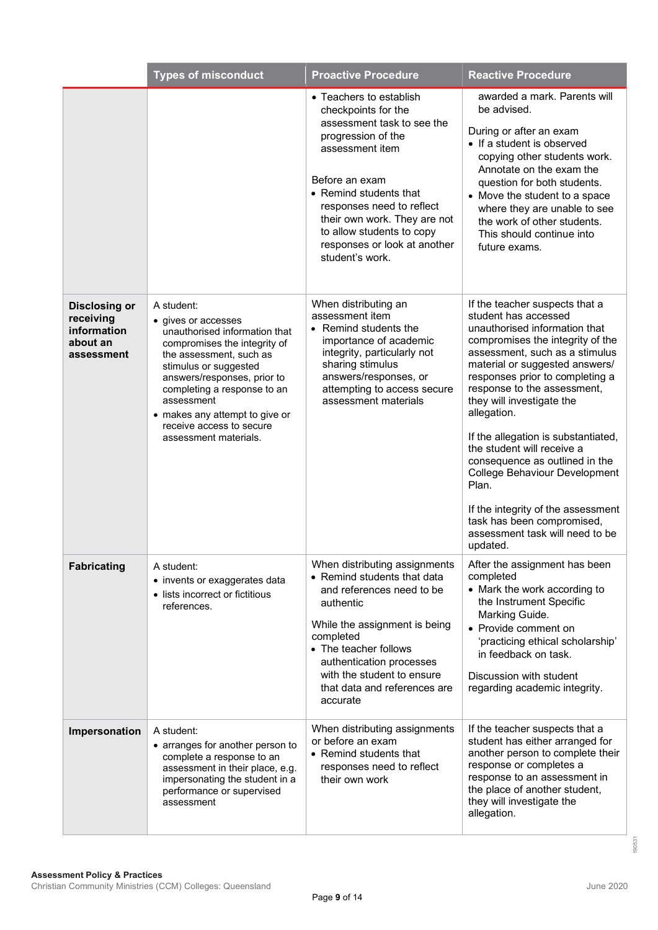|                                                                            | <b>Types of misconduct</b>                                                                                                                                                                                                                                                                                                | <b>Proactive Procedure</b>                                                                                                                                                                                                                                                                                     | <b>Reactive Procedure</b>                                                                                                                                                                                                                                                                                                                                                                                                                                                                                                                                                                |
|----------------------------------------------------------------------------|---------------------------------------------------------------------------------------------------------------------------------------------------------------------------------------------------------------------------------------------------------------------------------------------------------------------------|----------------------------------------------------------------------------------------------------------------------------------------------------------------------------------------------------------------------------------------------------------------------------------------------------------------|------------------------------------------------------------------------------------------------------------------------------------------------------------------------------------------------------------------------------------------------------------------------------------------------------------------------------------------------------------------------------------------------------------------------------------------------------------------------------------------------------------------------------------------------------------------------------------------|
|                                                                            |                                                                                                                                                                                                                                                                                                                           | • Teachers to establish<br>checkpoints for the<br>assessment task to see the<br>progression of the<br>assessment item<br>Before an exam<br>• Remind students that<br>responses need to reflect<br>their own work. They are not<br>to allow students to copy<br>responses or look at another<br>student's work. | awarded a mark. Parents will<br>be advised.<br>During or after an exam<br>• If a student is observed<br>copying other students work.<br>Annotate on the exam the<br>question for both students.<br>• Move the student to a space<br>where they are unable to see<br>the work of other students.<br>This should continue into<br>future exams.                                                                                                                                                                                                                                            |
| <b>Disclosing or</b><br>receiving<br>information<br>about an<br>assessment | A student:<br>• gives or accesses<br>unauthorised information that<br>compromises the integrity of<br>the assessment, such as<br>stimulus or suggested<br>answers/responses, prior to<br>completing a response to an<br>assessment<br>• makes any attempt to give or<br>receive access to secure<br>assessment materials. | When distributing an<br>assessment item<br>• Remind students the<br>importance of academic<br>integrity, particularly not<br>sharing stimulus<br>answers/responses, or<br>attempting to access secure<br>assessment materials                                                                                  | If the teacher suspects that a<br>student has accessed<br>unauthorised information that<br>compromises the integrity of the<br>assessment, such as a stimulus<br>material or suggested answers/<br>responses prior to completing a<br>response to the assessment,<br>they will investigate the<br>allegation.<br>If the allegation is substantiated,<br>the student will receive a<br>consequence as outlined in the<br><b>College Behaviour Development</b><br>Plan.<br>If the integrity of the assessment<br>task has been compromised,<br>assessment task will need to be<br>updated. |
| <b>Fabricating</b>                                                         | A student:<br>• invents or exaggerates data<br>• lists incorrect or fictitious<br>references.                                                                                                                                                                                                                             | When distributing assignments<br>• Remind students that data<br>and references need to be<br>authentic<br>While the assignment is being<br>completed<br>• The teacher follows<br>authentication processes<br>with the student to ensure<br>that data and references are<br>accurate                            | After the assignment has been<br>completed<br>• Mark the work according to<br>the Instrument Specific<br>Marking Guide.<br>• Provide comment on<br>'practicing ethical scholarship'<br>in feedback on task.<br>Discussion with student<br>regarding academic integrity.                                                                                                                                                                                                                                                                                                                  |
| Impersonation                                                              | A student:<br>• arranges for another person to<br>complete a response to an<br>assessment in their place, e.g.<br>impersonating the student in a<br>performance or supervised<br>assessment                                                                                                                               | When distributing assignments<br>or before an exam<br>• Remind students that<br>responses need to reflect<br>their own work                                                                                                                                                                                    | If the teacher suspects that a<br>student has either arranged for<br>another person to complete their<br>response or completes a<br>response to an assessment in<br>the place of another student,<br>they will investigate the<br>allegation.                                                                                                                                                                                                                                                                                                                                            |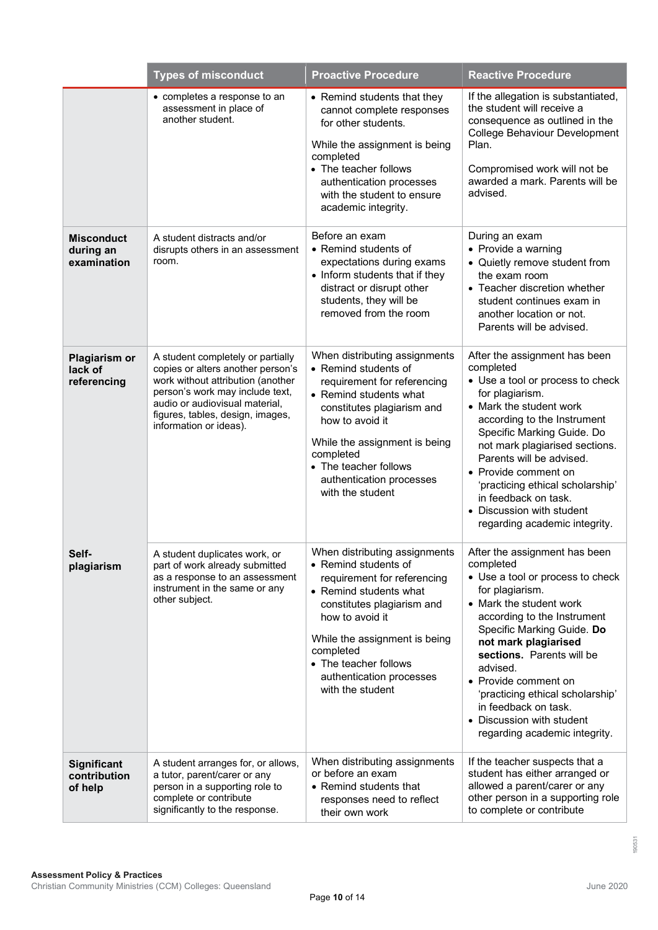|                                                | <b>Types of misconduct</b>                                                                                                                                                                                                                     | <b>Proactive Procedure</b>                                                                                                                                                                                                                                                             | <b>Reactive Procedure</b>                                                                                                                                                                                                                                                                                                                                                                                    |
|------------------------------------------------|------------------------------------------------------------------------------------------------------------------------------------------------------------------------------------------------------------------------------------------------|----------------------------------------------------------------------------------------------------------------------------------------------------------------------------------------------------------------------------------------------------------------------------------------|--------------------------------------------------------------------------------------------------------------------------------------------------------------------------------------------------------------------------------------------------------------------------------------------------------------------------------------------------------------------------------------------------------------|
|                                                | • completes a response to an<br>assessment in place of<br>another student.                                                                                                                                                                     | • Remind students that they<br>cannot complete responses<br>for other students.<br>While the assignment is being<br>completed<br>• The teacher follows<br>authentication processes<br>with the student to ensure<br>academic integrity.                                                | If the allegation is substantiated,<br>the student will receive a<br>consequence as outlined in the<br>College Behaviour Development<br>Plan.<br>Compromised work will not be<br>awarded a mark. Parents will be<br>advised.                                                                                                                                                                                 |
| <b>Misconduct</b><br>during an<br>examination  | A student distracts and/or<br>disrupts others in an assessment<br>room.                                                                                                                                                                        | Before an exam<br>• Remind students of<br>expectations during exams<br>• Inform students that if they<br>distract or disrupt other<br>students, they will be<br>removed from the room                                                                                                  | During an exam<br>• Provide a warning<br>• Quietly remove student from<br>the exam room<br>• Teacher discretion whether<br>student continues exam in<br>another location or not.<br>Parents will be advised.                                                                                                                                                                                                 |
| <b>Plagiarism or</b><br>lack of<br>referencing | A student completely or partially<br>copies or alters another person's<br>work without attribution (another<br>person's work may include text,<br>audio or audiovisual material,<br>figures, tables, design, images,<br>information or ideas). | When distributing assignments<br>• Remind students of<br>requirement for referencing<br>• Remind students what<br>constitutes plagiarism and<br>how to avoid it<br>While the assignment is being<br>completed<br>• The teacher follows<br>authentication processes<br>with the student | After the assignment has been<br>completed<br>• Use a tool or process to check<br>for plagiarism.<br>• Mark the student work<br>according to the Instrument<br>Specific Marking Guide. Do<br>not mark plagiarised sections.<br>Parents will be advised.<br>• Provide comment on<br>'practicing ethical scholarship'<br>in feedback on task.<br>• Discussion with student<br>regarding academic integrity.    |
| Self-<br>plagiarism                            | A student duplicates work, or<br>part of work already submitted<br>as a response to an assessment<br>instrument in the same or any<br>other subject.                                                                                           | When distributing assignments<br>• Remind students of<br>requirement for referencing<br>• Remind students what<br>constitutes plagiarism and<br>how to avoid it<br>While the assignment is being<br>completed<br>• The teacher follows<br>authentication processes<br>with the student | After the assignment has been<br>completed<br>• Use a tool or process to check<br>for plagiarism.<br>• Mark the student work<br>according to the Instrument<br>Specific Marking Guide. Do<br>not mark plagiarised<br>sections. Parents will be<br>advised.<br>• Provide comment on<br>'practicing ethical scholarship'<br>in feedback on task.<br>• Discussion with student<br>regarding academic integrity. |
| Significant<br>contribution<br>of help         | A student arranges for, or allows,<br>a tutor, parent/carer or any<br>person in a supporting role to<br>complete or contribute<br>significantly to the response.                                                                               | When distributing assignments<br>or before an exam<br>• Remind students that<br>responses need to reflect<br>their own work                                                                                                                                                            | If the teacher suspects that a<br>student has either arranged or<br>allowed a parent/carer or any<br>other person in a supporting role<br>to complete or contribute                                                                                                                                                                                                                                          |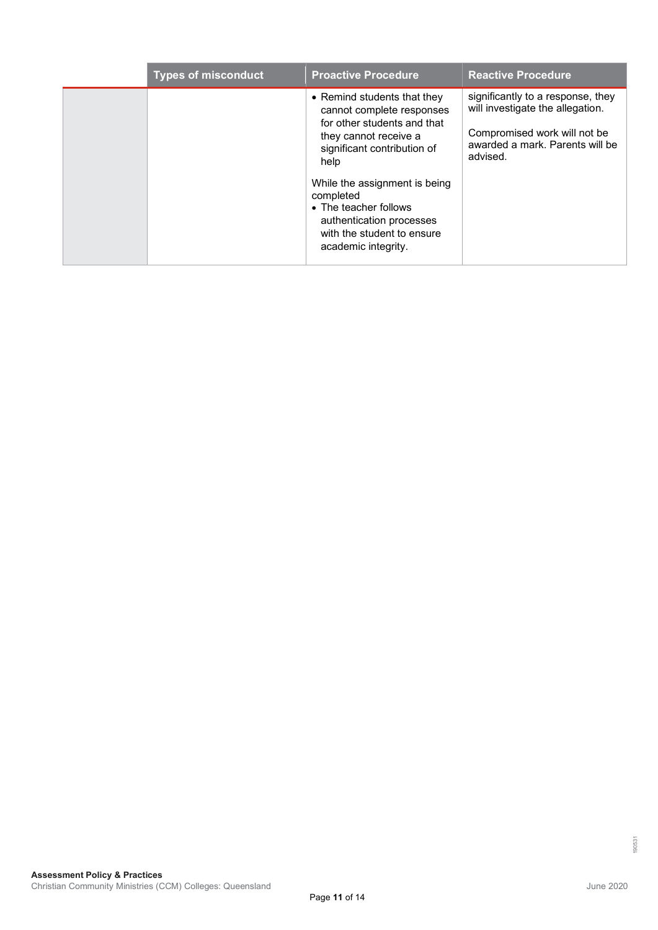| <b>Types of misconduct</b> | <b>Proactive Procedure</b>                                                                                                                                                                                                                                                                                      | <b>Reactive Procedure</b>                                                                                                                            |
|----------------------------|-----------------------------------------------------------------------------------------------------------------------------------------------------------------------------------------------------------------------------------------------------------------------------------------------------------------|------------------------------------------------------------------------------------------------------------------------------------------------------|
|                            | • Remind students that they<br>cannot complete responses<br>for other students and that<br>they cannot receive a<br>significant contribution of<br>help<br>While the assignment is being<br>completed<br>• The teacher follows<br>authentication processes<br>with the student to ensure<br>academic integrity. | significantly to a response, they<br>will investigate the allegation.<br>Compromised work will not be<br>awarded a mark. Parents will be<br>advised. |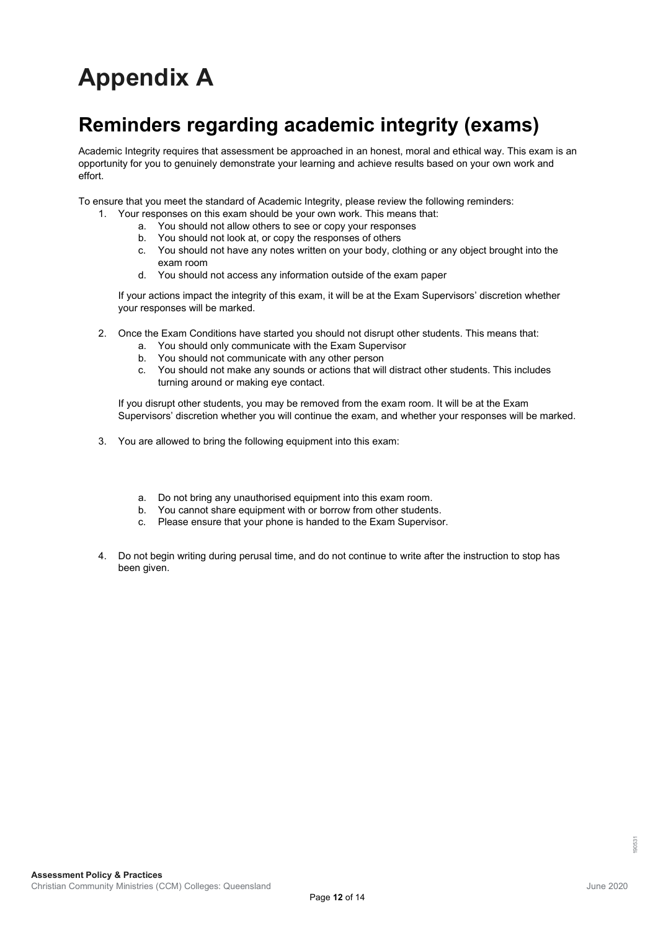# **Appendix A**

### **Reminders regarding academic integrity (exams)**

Academic Integrity requires that assessment be approached in an honest, moral and ethical way. This exam is an opportunity for you to genuinely demonstrate your learning and achieve results based on your own work and effort.

To ensure that you meet the standard of Academic Integrity, please review the following reminders:

- 1. Your responses on this exam should be your own work. This means that:
	- a. You should not allow others to see or copy your responses
	- b. You should not look at, or copy the responses of others
	- c. You should not have any notes written on your body, clothing or any object brought into the exam room
	- d. You should not access any information outside of the exam paper

If your actions impact the integrity of this exam, it will be at the Exam Supervisors' discretion whether your responses will be marked.

- 2. Once the Exam Conditions have started you should not disrupt other students. This means that:
	- a. You should only communicate with the Exam Supervisor
	- b. You should not communicate with any other person
	- c. You should not make any sounds or actions that will distract other students. This includes turning around or making eye contact.

If you disrupt other students, you may be removed from the exam room. It will be at the Exam Supervisors' discretion whether you will continue the exam, and whether your responses will be marked.

- 3. You are allowed to bring the following equipment into this exam:
	- a. Do not bring any unauthorised equipment into this exam room.
	- b. You cannot share equipment with or borrow from other students.
	- c. Please ensure that your phone is handed to the Exam Supervisor.
- 4. Do not begin writing during perusal time, and do not continue to write after the instruction to stop has been given.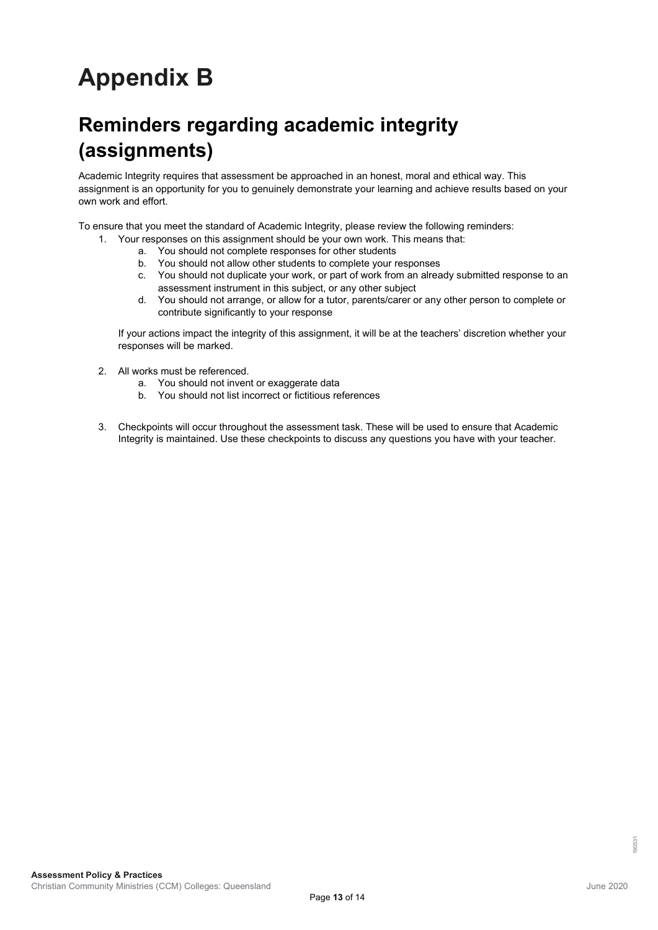# **Appendix B**

## **Reminders regarding academic integrity (assignments)**

Academic Integrity requires that assessment be approached in an honest, moral and ethical way. This assignment is an opportunity for you to genuinely demonstrate your learning and achieve results based on your own work and effort.

To ensure that you meet the standard of Academic Integrity, please review the following reminders:

- 1. Your responses on this assignment should be your own work. This means that:
	- a. You should not complete responses for other students
	- b. You should not allow other students to complete your responses
	- c. You should not duplicate your work, or part of work from an already submitted response to an assessment instrument in this subject, or any other subject
	- d. You should not arrange, or allow for a tutor, parents/carer or any other person to complete or contribute significantly to your response

If your actions impact the integrity of this assignment, it will be at the teachers' discretion whether your responses will be marked.

- 2. All works must be referenced.
	- a. You should not invent or exaggerate data
	- b. You should not list incorrect or fictitious references
- 3. Checkpoints will occur throughout the assessment task. These will be used to ensure that Academic Integrity is maintained. Use these checkpoints to discuss any questions you have with your teacher.